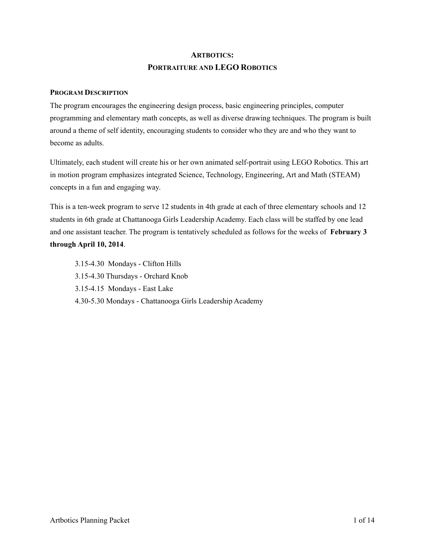# **ARTBOTICS: PORTRAITURE AND LEGO ROBOTICS**

#### **PROGRAM DESCRIPTION**

The program encourages the engineering design process, basic engineering principles, computer programming and elementary math concepts, as well as diverse drawing techniques. The program is built around a theme of self identity, encouraging students to consider who they are and who they want to become as adults.

Ultimately, each student will create his or her own animated self-portrait using LEGO Robotics. This art in motion program emphasizes integrated Science, Technology, Engineering, Art and Math (STEAM) concepts in a fun and engaging way.

This is a ten-week program to serve 12 students in 4th grade at each of three elementary schools and 12 students in 6th grade at Chattanooga Girls Leadership Academy. Each class will be staffed by one lead and one assistant teacher. The program is tentatively scheduled as follows for the weeks of **February 3 through April 10, 2014**.

 3.15-4.30 Mondays - Clifton Hills 3.15-4.30 Thursdays - Orchard Knob 3.15-4.15 Mondays - East Lake 4.30-5.30 Mondays - Chattanooga Girls Leadership Academy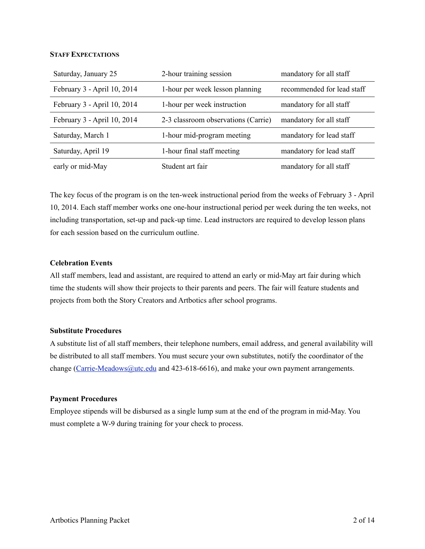#### **STAFF EXPECTATIONS**

| Saturday, January 25        | 2-hour training session             | mandatory for all staff    |
|-----------------------------|-------------------------------------|----------------------------|
| February 3 - April 10, 2014 | 1-hour per week lesson planning     | recommended for lead staff |
| February 3 - April 10, 2014 | 1-hour per week instruction         | mandatory for all staff    |
| February 3 - April 10, 2014 | 2-3 classroom observations (Carrie) | mandatory for all staff    |
| Saturday, March 1           | 1-hour mid-program meeting          | mandatory for lead staff   |
| Saturday, April 19          | 1-hour final staff meeting          | mandatory for lead staff   |
| early or mid-May            | Student art fair                    | mandatory for all staff    |

The key focus of the program is on the ten-week instructional period from the weeks of February 3 - April 10, 2014. Each staff member works one one-hour instructional period per week during the ten weeks, not including transportation, set-up and pack-up time. Lead instructors are required to develop lesson plans for each session based on the curriculum outline.

## **Celebration Events**

All staff members, lead and assistant, are required to attend an early or mid-May art fair during which time the students will show their projects to their parents and peers. The fair will feature students and projects from both the Story Creators and Artbotics after school programs.

#### **Substitute Procedures**

A substitute list of all staff members, their telephone numbers, email address, and general availability will be distributed to all staff members. You must secure your own substitutes, notify the coordinator of the change (Carrie-Meadows  $\omega$ utc.edu and 423-618-6616), and make your own payment arrangements.

#### **Payment Procedures**

Employee stipends will be disbursed as a single lump sum at the end of the program in mid-May. You must complete a W-9 during training for your check to process.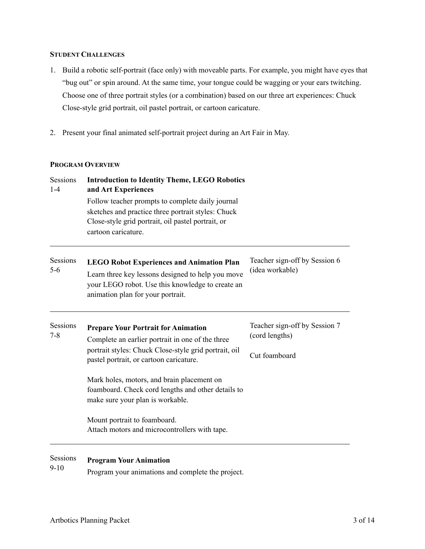## **STUDENT CHALLENGES**

- 1. Build a robotic self-portrait (face only) with moveable parts. For example, you might have eyes that "bug out" or spin around. At the same time, your tongue could be wagging or your ears twitching. Choose one of three portrait styles (or a combination) based on our three art experiences: Chuck Close-style grid portrait, oil pastel portrait, or cartoon caricature.
- 2. Present your final animated self-portrait project during an Art Fair in May.

## **PROGRAM OVERVIEW**

| Sessions<br>$1 - 4$ | <b>Introduction to Identity Theme, LEGO Robotics</b><br>and Art Experiences                                                                                                         |                                                  |  |  |  |
|---------------------|-------------------------------------------------------------------------------------------------------------------------------------------------------------------------------------|--------------------------------------------------|--|--|--|
|                     | Follow teacher prompts to complete daily journal<br>sketches and practice three portrait styles: Chuck<br>Close-style grid portrait, oil pastel portrait, or<br>cartoon caricature. |                                                  |  |  |  |
| Sessions<br>$5 - 6$ | <b>LEGO Robot Experiences and Animation Plan</b><br>Learn three key lessons designed to help you move                                                                               | Teacher sign-off by Session 6<br>(idea workable) |  |  |  |
|                     | your LEGO robot. Use this knowledge to create an<br>animation plan for your portrait.                                                                                               |                                                  |  |  |  |
| Sessions<br>$7 - 8$ | <b>Prepare Your Portrait for Animation</b>                                                                                                                                          | Teacher sign-off by Session 7<br>(cord lengths)  |  |  |  |
|                     | Complete an earlier portrait in one of the three<br>portrait styles: Chuck Close-style grid portrait, oil<br>pastel portrait, or cartoon caricature.                                | Cut foamboard                                    |  |  |  |
|                     | Mark holes, motors, and brain placement on<br>foamboard. Check cord lengths and other details to<br>make sure your plan is workable.                                                |                                                  |  |  |  |
|                     | Mount portrait to foamboard.<br>Attach motors and microcontrollers with tape.                                                                                                       |                                                  |  |  |  |

#### Sessions **Program Your Animation**

9-10 Program your animations and complete the project.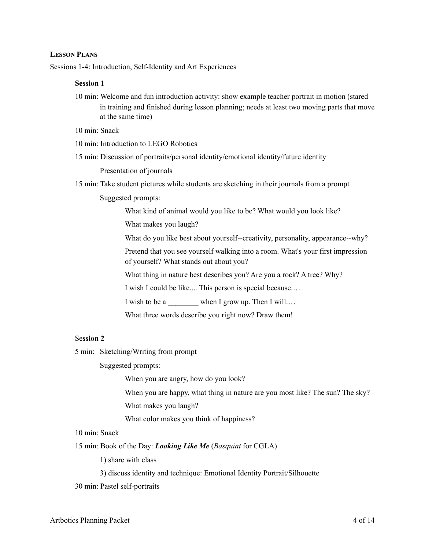#### **LESSON PLANS**

Sessions 1-4: Introduction, Self-Identity and Art Experiences

## **Session 1**

- 10 min: Welcome and fun introduction activity: show example teacher portrait in motion (stared in training and finished during lesson planning; needs at least two moving parts that move at the same time)
- 10 min: Snack
- 10 min: Introduction to LEGO Robotics
- 15 min: Discussion of portraits/personal identity/emotional identity/future identity

Presentation of journals

15 min: Take student pictures while students are sketching in their journals from a prompt

Suggested prompts:

What kind of animal would you like to be? What would you look like?

What makes you laugh?

What do you like best about yourself--creativity, personality, appearance--why?

 Pretend that you see yourself walking into a room. What's your first impression of yourself? What stands out about you?

What thing in nature best describes you? Are you a rock? A tree? Why?

I wish I could be like.... This person is special because.…

I wish to be a when I grow up. Then I will.…

What three words describe you right now? Draw them!

#### Se**ssion 2**

5 min: Sketching/Writing from prompt

Suggested prompts:

When you are angry, how do you look?

When you are happy, what thing in nature are you most like? The sun? The sky?

What makes you laugh?

What color makes you think of happiness?

## 10 min: Snack

15 min: Book of the Day: *Looking Like Me* (*Basquiat* for CGLA)

1) share with class

3) discuss identity and technique: Emotional Identity Portrait/Silhouette

30 min: Pastel self-portraits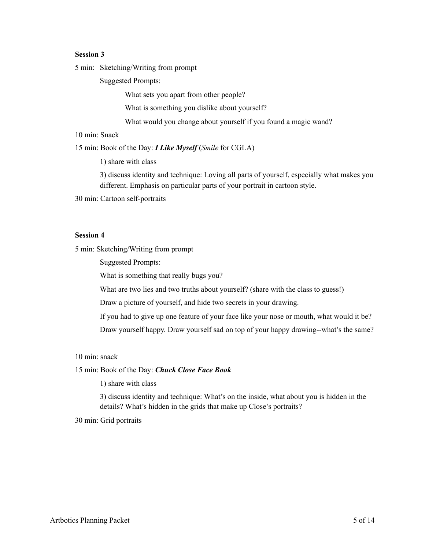## **Session 3**

5 min: Sketching/Writing from prompt

Suggested Prompts:

What sets you apart from other people?

What is something you dislike about yourself?

What would you change about yourself if you found a magic wand?

10 min: Snack

15 min: Book of the Day: *I Like Myself* (*Smile* for CGLA)

1) share with class

 3) discuss identity and technique: Loving all parts of yourself, especially what makes you different. Emphasis on particular parts of your portrait in cartoon style.

30 min: Cartoon self-portraits

#### **Session 4**

5 min: Sketching/Writing from prompt

Suggested Prompts:

What is something that really bugs you?

What are two lies and two truths about yourself? (share with the class to guess!)

Draw a picture of yourself, and hide two secrets in your drawing.

If you had to give up one feature of your face like your nose or mouth, what would it be?

Draw yourself happy. Draw yourself sad on top of your happy drawing--what's the same?

10 min: snack

15 min: Book of the Day: *Chuck Close Face Book*

1) share with class

 3) discuss identity and technique: What's on the inside, what about you is hidden in the details? What's hidden in the grids that make up Close's portraits?

30 min: Grid portraits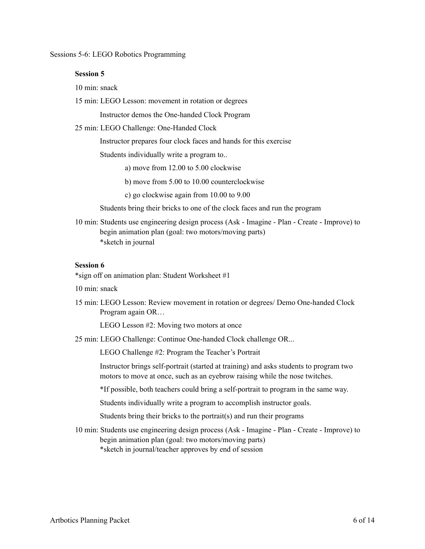Sessions 5-6: LEGO Robotics Programming

#### **Session 5**

10 min: snack

15 min: LEGO Lesson: movement in rotation or degrees

Instructor demos the One-handed Clock Program

25 min: LEGO Challenge: One-Handed Clock

Instructor prepares four clock faces and hands for this exercise

Students individually write a program to..

a) move from 12.00 to 5.00 clockwise

b) move from 5.00 to 10.00 counterclockwise

c) go clockwise again from 10.00 to 9.00

Students bring their bricks to one of the clock faces and run the program

10 min: Students use engineering design process (Ask - Imagine - Plan - Create - Improve) to begin animation plan (goal: two motors/moving parts) \*sketch in journal

#### **Session 6**

\*sign off on animation plan: Student Worksheet #1

10 min: snack

15 min: LEGO Lesson: Review movement in rotation or degrees/ Demo One-handed Clock Program again OR…

LEGO Lesson #2: Moving two motors at once

25 min: LEGO Challenge: Continue One-handed Clock challenge OR...

LEGO Challenge #2: Program the Teacher's Portrait

 Instructor brings self-portrait (started at training) and asks students to program two motors to move at once, such as an eyebrow raising while the nose twitches.

\*If possible, both teachers could bring a self-portrait to program in the same way.

Students individually write a program to accomplish instructor goals.

Students bring their bricks to the portrait(s) and run their programs

## 10 min: Students use engineering design process (Ask - Imagine - Plan - Create - Improve) to begin animation plan (goal: two motors/moving parts) \*sketch in journal/teacher approves by end of session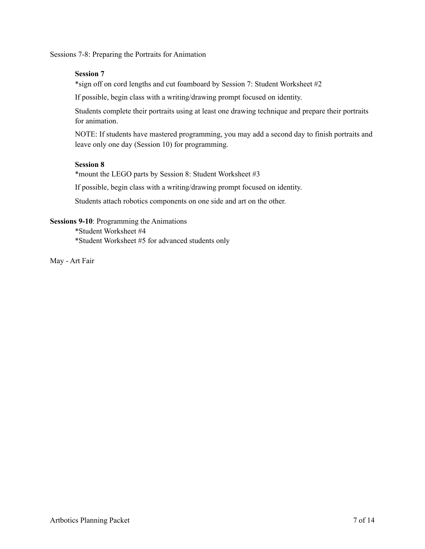Sessions 7-8: Preparing the Portraits for Animation

## **Session 7**

\*sign off on cord lengths and cut foamboard by Session 7: Student Worksheet #2

If possible, begin class with a writing/drawing prompt focused on identity.

Students complete their portraits using at least one drawing technique and prepare their portraits for animation.

 NOTE: If students have mastered programming, you may add a second day to finish portraits and leave only one day (Session 10) for programming.

## **Session 8**

\*mount the LEGO parts by Session 8: Student Worksheet #3

If possible, begin class with a writing/drawing prompt focused on identity.

Students attach robotics components on one side and art on the other.

## **Sessions 9-10**: Programming the Animations

 \*Student Worksheet #4 \*Student Worksheet #5 for advanced students only

May - Art Fair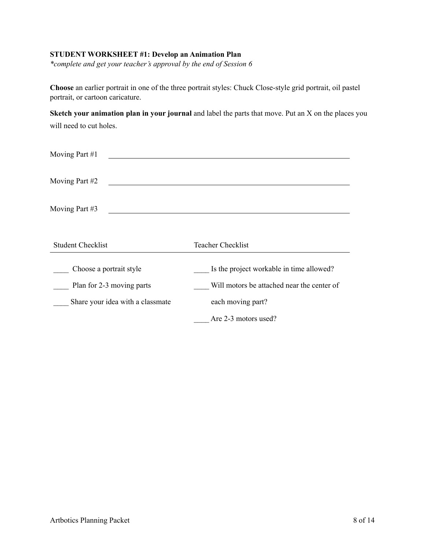# **STUDENT WORKSHEET #1: Develop an Animation Plan**

*\*complete and get your teacher's approval by the end of Session 6*

**Choose** an earlier portrait in one of the three portrait styles: Chuck Close-style grid portrait, oil pastel portrait, or cartoon caricature.

**Sketch your animation plan in your journal** and label the parts that move. Put an X on the places you will need to cut holes.

| Moving Part #1                                       |                                                                                        |
|------------------------------------------------------|----------------------------------------------------------------------------------------|
| Moving Part #2                                       |                                                                                        |
| Moving Part #3                                       |                                                                                        |
| <b>Student Checklist</b>                             | <b>Teacher Checklist</b>                                                               |
| Choose a portrait style<br>Plan for 2-3 moving parts | Is the project workable in time allowed?<br>Will motors be attached near the center of |
| Share your idea with a classmate                     | each moving part?                                                                      |
|                                                      | Are 2-3 motors used?                                                                   |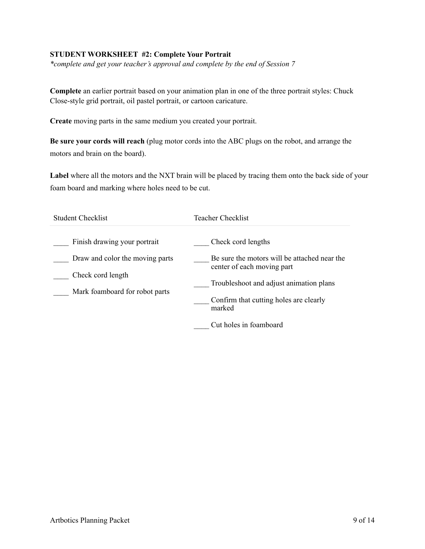## **STUDENT WORKSHEET #2: Complete Your Portrait**

*\*complete and get your teacher's approval and complete by the end of Session 7*

**Complete** an earlier portrait based on your animation plan in one of the three portrait styles: Chuck Close-style grid portrait, oil pastel portrait, or cartoon caricature.

**Create** moving parts in the same medium you created your portrait.

**Be sure your cords will reach** (plug motor cords into the ABC plugs on the robot, and arrange the motors and brain on the board).

**Label** where all the motors and the NXT brain will be placed by tracing them onto the back side of your foam board and marking where holes need to be cut.

| <b>Student Checklist</b>        | <b>Teacher Checklist</b>                                                   |  |
|---------------------------------|----------------------------------------------------------------------------|--|
| Finish drawing your portrait    | Check cord lengths                                                         |  |
| Draw and color the moving parts | Be sure the motors will be attached near the<br>center of each moving part |  |
| Check cord length               | Troubleshoot and adjust animation plans                                    |  |
| Mark foamboard for robot parts  | Confirm that cutting holes are clearly<br>marked                           |  |
|                                 | Cut holes in foamboard                                                     |  |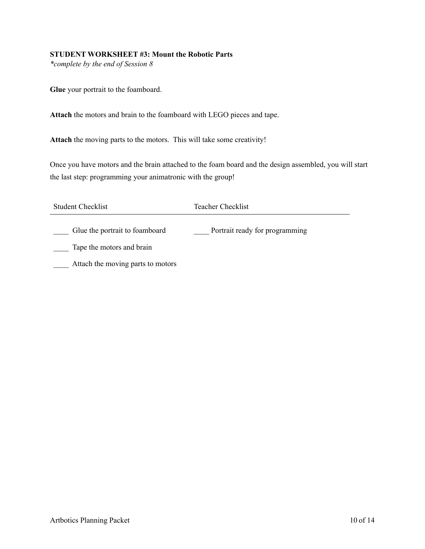## **STUDENT WORKSHEET #3: Mount the Robotic Parts**

*\*complete by the end of Session 8*

**Glue** your portrait to the foamboard.

**Attach** the motors and brain to the foamboard with LEGO pieces and tape.

**Attach** the moving parts to the motors. This will take some creativity!

Once you have motors and the brain attached to the foam board and the design assembled, you will start the last step: programming your animatronic with the group!

| <b>Student Checklist</b>          | Teacher Checklist              |  |  |
|-----------------------------------|--------------------------------|--|--|
| Glue the portrait to foamboard    | Portrait ready for programming |  |  |
| Tape the motors and brain         |                                |  |  |
| Attach the moving parts to motors |                                |  |  |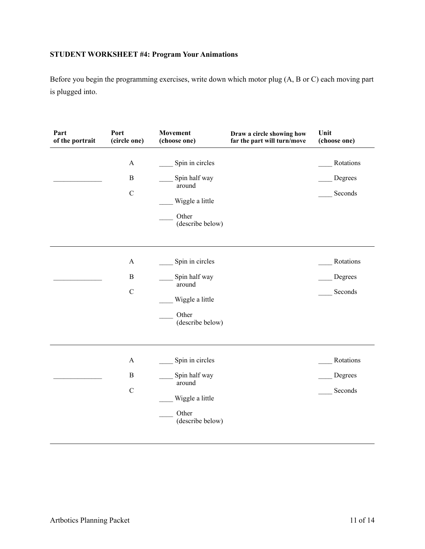# **STUDENT WORKSHEET #4: Program Your Animations**

Before you begin the programming exercises, write down which motor plug (A, B or C) each moving part is plugged into.

| Part<br>of the portrait | Port<br>(circle one)                              | Movement<br>(choose one)                                                                   | Draw a circle showing how<br>far the part will turn/move | Unit<br>(choose one)            |
|-------------------------|---------------------------------------------------|--------------------------------------------------------------------------------------------|----------------------------------------------------------|---------------------------------|
|                         | $\mathbf{A}$<br>B<br>$\mathcal{C}$                | Spin in circles<br>Spin half way<br>around<br>Wiggle a little<br>Other<br>(describe below) |                                                          | Rotations<br>Degrees<br>Seconds |
|                         | $\mathbf{A}$<br>$\boldsymbol{B}$<br>$\mathcal{C}$ | Spin in circles<br>Spin half way<br>around<br>Wiggle a little<br>Other<br>(describe below) |                                                          | Rotations<br>Degrees<br>Seconds |
|                         | $\mathbf{A}$<br>$\boldsymbol{B}$<br>$\mathcal{C}$ | Spin in circles<br>Spin half way<br>around<br>Wiggle a little<br>Other<br>(describe below) |                                                          | Rotations<br>Degrees<br>Seconds |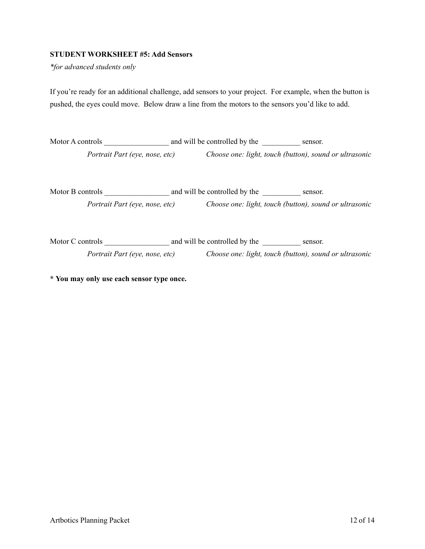## **STUDENT WORKSHEET #5: Add Sensors**

*\*for advanced students only*

If you're ready for an additional challenge, add sensors to your project. For example, when the button is pushed, the eyes could move. Below draw a line from the motors to the sensors you'd like to add.

Motor A controls and will be controlled by the sensor. *Portrait Part (eye, nose, etc) Choose one: light, touch (button), sound or ultrasonic*

Motor B controls and will be controlled by the sensor. *Portrait Part (eye, nose, etc) Choose one: light, touch (button), sound or ultrasonic*

Motor C controls \_\_\_\_\_\_\_\_\_\_\_\_\_\_\_\_\_ and will be controlled by the \_\_\_\_\_\_\_\_\_\_ sensor. *Portrait Part (eye, nose, etc) Choose one: light, touch (button), sound or ultrasonic*

**\* You may only use each sensor type once.**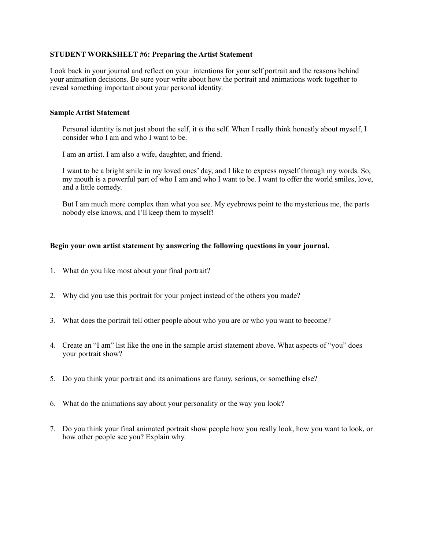#### **STUDENT WORKSHEET #6: Preparing the Artist Statement**

Look back in your journal and reflect on your intentions for your self portrait and the reasons behind your animation decisions. Be sure your write about how the portrait and animations work together to reveal something important about your personal identity.

#### **Sample Artist Statement**

Personal identity is not just about the self, it *is* the self. When I really think honestly about myself, I consider who I am and who I want to be.

I am an artist. I am also a wife, daughter, and friend.

I want to be a bright smile in my loved ones' day, and I like to express myself through my words. So, my mouth is a powerful part of who I am and who I want to be. I want to offer the world smiles, love, and a little comedy.

But I am much more complex than what you see. My eyebrows point to the mysterious me, the parts nobody else knows, and I'll keep them to myself!

## **Begin your own artist statement by answering the following questions in your journal.**

- 1. What do you like most about your final portrait?
- 2. Why did you use this portrait for your project instead of the others you made?
- 3. What does the portrait tell other people about who you are or who you want to become?
- 4. Create an "I am" list like the one in the sample artist statement above. What aspects of "you" does your portrait show?
- 5. Do you think your portrait and its animations are funny, serious, or something else?
- 6. What do the animations say about your personality or the way you look?
- 7. Do you think your final animated portrait show people how you really look, how you want to look, or how other people see you? Explain why.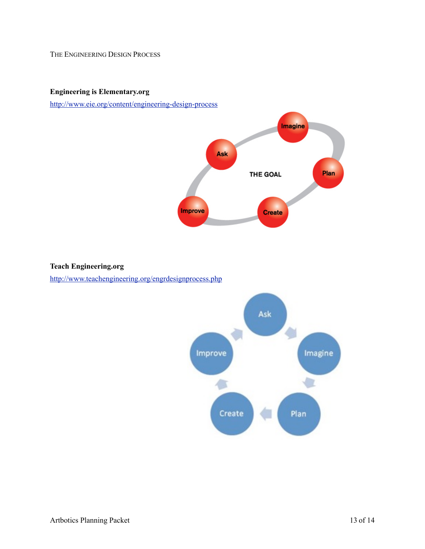## THE ENGINEERING DESIGN PROCESS

## **Engineering is Elementary.org**

<http://www.eie.org/content/engineering-design-process>



# **Teach Engineering.org**

<http://www.teachengineering.org/engrdesignprocess.php>